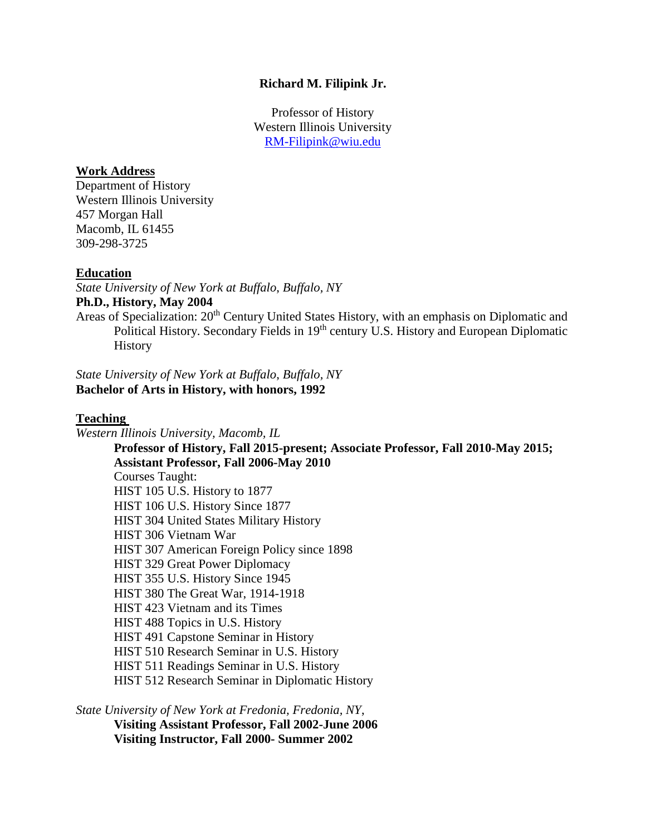## **Richard M. Filipink Jr.**

Professor of History Western Illinois University RM-Filipink@wiu.edu

### **Work Address**

Department of History Western Illinois University 457 Morgan Hall Macomb, IL 61455 309-298-3725

### **Education**

*State University of New York at Buffalo*, *Buffalo, NY* **Ph.D., History, May 2004** Areas of Specialization: 20<sup>th</sup> Century United States History, with an emphasis on Diplomatic and Political History. Secondary Fields in 19<sup>th</sup> century U.S. History and European Diplomatic **History** 

*State University of New York at Buffalo*, *Buffalo, NY* **Bachelor of Arts in History, with honors, 1992**

#### **Teaching**

*Western Illinois University, Macomb, IL*

**Professor of History, Fall 2015-present; Associate Professor, Fall 2010-May 2015; Assistant Professor, Fall 2006-May 2010** Courses Taught: HIST 105 U.S. History to 1877 HIST 106 U.S. History Since 1877 HIST 304 United States Military History HIST 306 Vietnam War HIST 307 American Foreign Policy since 1898 HIST 329 Great Power Diplomacy HIST 355 U.S. History Since 1945 HIST 380 The Great War, 1914-1918 HIST 423 Vietnam and its Times HIST 488 Topics in U.S. History HIST 491 Capstone Seminar in History HIST 510 Research Seminar in U.S. History HIST 511 Readings Seminar in U.S. History HIST 512 Research Seminar in Diplomatic History

*State University of New York at Fredonia, Fredonia, NY*, **Visiting Assistant Professor, Fall 2002-June 2006** 

**Visiting Instructor, Fall 2000- Summer 2002**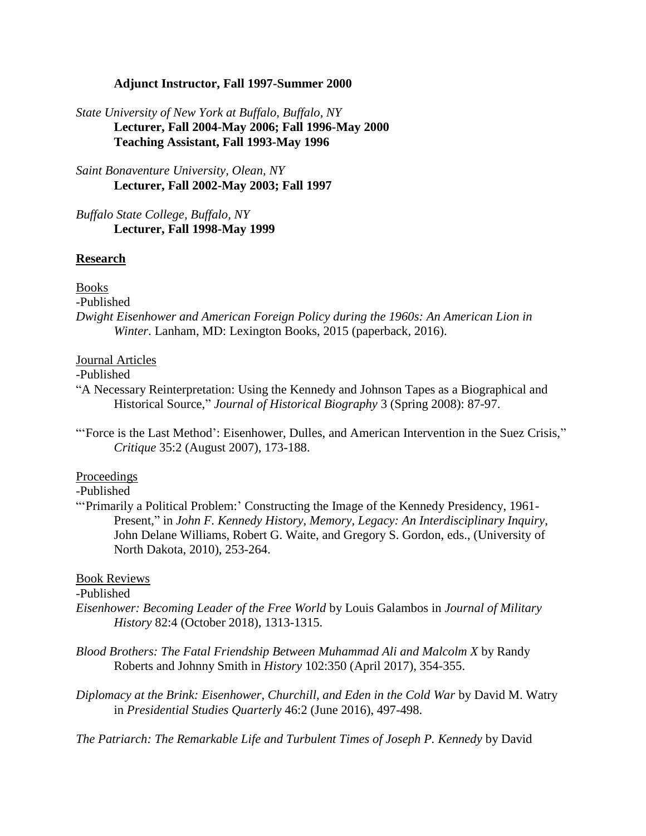## **Adjunct Instructor, Fall 1997-Summer 2000**

# *State University of New York at Buffalo*, *Buffalo, NY* **Lecturer, Fall 2004-May 2006; Fall 1996-May 2000 Teaching Assistant, Fall 1993-May 1996**

*Saint Bonaventure University, Olean, NY* **Lecturer, Fall 2002-May 2003; Fall 1997**

*Buffalo State College, Buffalo, NY* **Lecturer, Fall 1998-May 1999**

## **Research**

### Books

-Published

*Dwight Eisenhower and American Foreign Policy during the 1960s: An American Lion in Winter*. Lanham, MD: Lexington Books, 2015 (paperback, 2016).

### Journal Articles

-Published

- "A Necessary Reinterpretation: Using the Kennedy and Johnson Tapes as a Biographical and Historical Source," *Journal of Historical Biography* 3 (Spring 2008): 87-97.
- "'Force is the Last Method': Eisenhower, Dulles, and American Intervention in the Suez Crisis," *Critique* 35:2 (August 2007), 173-188.

## Proceedings

#### -Published

"'Primarily a Political Problem:' Constructing the Image of the Kennedy Presidency, 1961- Present," in *John F. Kennedy History, Memory, Legacy: An Interdisciplinary Inquiry*, John Delane Williams, Robert G. Waite, and Gregory S. Gordon, eds., (University of North Dakota, 2010), 253-264.

### Book Reviews

## -Published

- *Eisenhower: Becoming Leader of the Free World* by Louis Galambos in *Journal of Military History* 82:4 (October 2018), 1313-1315.
- *Blood Brothers: The Fatal Friendship Between Muhammad Ali and Malcolm X* by Randy Roberts and Johnny Smith in *History* 102:350 (April 2017), 354-355.
- *Diplomacy at the Brink: Eisenhower, Churchill, and Eden in the Cold War* by David M. Watry in *Presidential Studies Quarterly* 46:2 (June 2016), 497-498.

*The Patriarch: The Remarkable Life and Turbulent Times of Joseph P. Kennedy* by David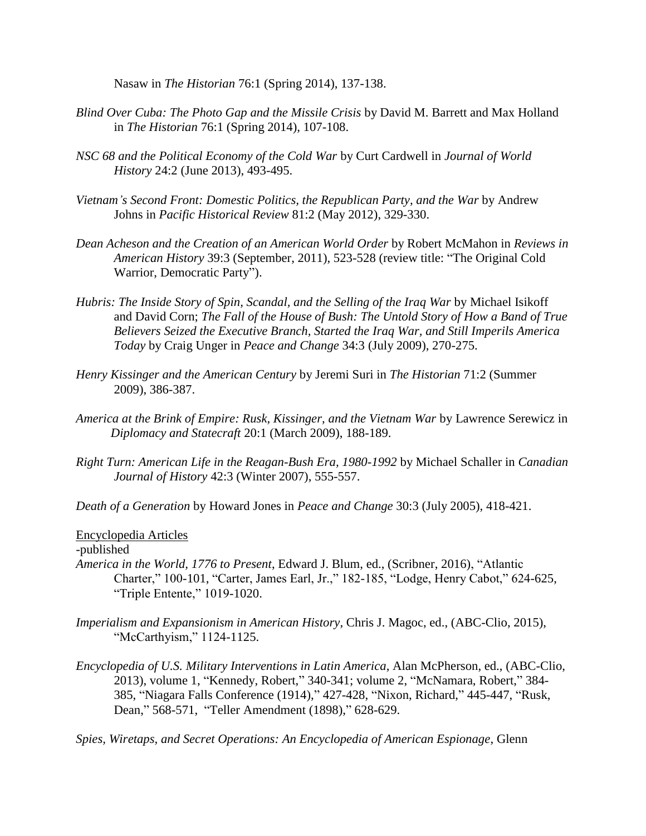Nasaw in *The Historian* 76:1 (Spring 2014), 137-138.

- *Blind Over Cuba: The Photo Gap and the Missile Crisis* by David M. Barrett and Max Holland in *The Historian* 76:1 (Spring 2014), 107-108.
- *NSC 68 and the Political Economy of the Cold War* by Curt Cardwell in *Journal of World History* 24:2 (June 2013), 493-495.
- *Vietnam's Second Front: Domestic Politics, the Republican Party, and the War* by Andrew Johns in *Pacific Historical Review* 81:2 (May 2012), 329-330.
- *Dean Acheson and the Creation of an American World Order* by Robert McMahon in *Reviews in American History* 39:3 (September, 2011), 523-528 (review title: "The Original Cold Warrior, Democratic Party").
- *Hubris: The Inside Story of Spin, Scandal, and the Selling of the Iraq War* by Michael Isikoff and David Corn; *The Fall of the House of Bush: The Untold Story of How a Band of True Believers Seized the Executive Branch, Started the Iraq War, and Still Imperils America Today* by Craig Unger in *Peace and Change* 34:3 (July 2009), 270-275.
- *Henry Kissinger and the American Century* by Jeremi Suri in *The Historian* 71:2 (Summer 2009), 386-387.
- *America at the Brink of Empire: Rusk, Kissinger, and the Vietnam War* by Lawrence Serewicz in  *Diplomacy and Statecraft* 20:1 (March 2009), 188-189.
- *Right Turn: American Life in the Reagan-Bush Era, 1980-1992* by Michael Schaller in *Canadian Journal of History* 42:3 (Winter 2007), 555-557.

*Death of a Generation* by Howard Jones in *Peace and Change* 30:3 (July 2005), 418-421.

### Encyclopedia Articles

-published

- *America in the World, 1776 to Present*, Edward J. Blum, ed., (Scribner, 2016), "Atlantic Charter," 100-101, "Carter, James Earl, Jr.," 182-185, "Lodge, Henry Cabot," 624-625, "Triple Entente," 1019-1020.
- *Imperialism and Expansionism in American History*, Chris J. Magoc, ed., (ABC-Clio, 2015), "McCarthyism," 1124-1125.
- *Encyclopedia of U.S. Military Interventions in Latin America*, Alan McPherson, ed., (ABC-Clio, 2013), volume 1, "Kennedy, Robert," 340-341; volume 2, "McNamara, Robert," 384- 385, "Niagara Falls Conference (1914)," 427-428, "Nixon, Richard," 445-447, "Rusk, Dean," 568-571, "Teller Amendment (1898)," 628-629.

*Spies, Wiretaps, and Secret Operations: An Encyclopedia of American Espionage*, Glenn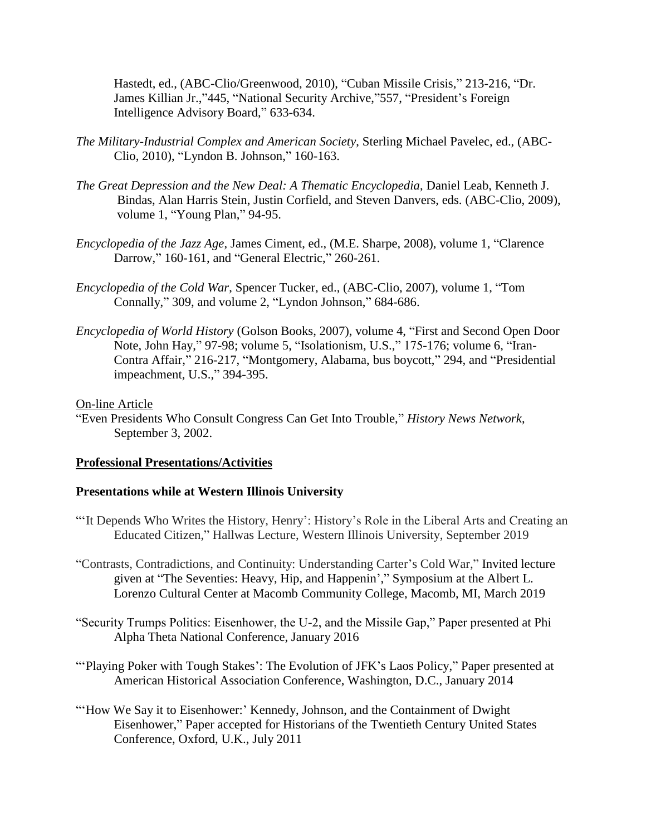Hastedt, ed., (ABC-Clio/Greenwood, 2010), "Cuban Missile Crisis," 213-216, "Dr. James Killian Jr.,"445, "National Security Archive,"557, "President's Foreign Intelligence Advisory Board," 633-634.

- *The Military-Industrial Complex and American Society*, Sterling Michael Pavelec, ed., (ABC-Clio, 2010), "Lyndon B. Johnson," 160-163.
- *The Great Depression and the New Deal: A Thematic Encyclopedia*, Daniel Leab, Kenneth J. Bindas, Alan Harris Stein, Justin Corfield, and Steven Danvers, eds. (ABC-Clio, 2009), volume 1, "Young Plan," 94-95.
- *Encyclopedia of the Jazz Age*, James Ciment, ed., (M.E. Sharpe, 2008), volume 1, "Clarence Darrow," 160-161, and "General Electric," 260-261.
- *Encyclopedia of the Cold War*, Spencer Tucker, ed., (ABC-Clio, 2007), volume 1, "Tom Connally," 309, and volume 2, "Lyndon Johnson," 684-686.
- *Encyclopedia of World History* (Golson Books, 2007), volume 4, "First and Second Open Door Note, John Hay," 97-98; volume 5, "Isolationism, U.S.," 175-176; volume 6, "Iran-Contra Affair," 216-217, "Montgomery, Alabama, bus boycott," 294, and "Presidential impeachment, U.S.," 394-395.

### On-line Article

"Even Presidents Who Consult Congress Can Get Into Trouble," *History News Network*, September 3, 2002.

#### **Professional Presentations/Activities**

#### **Presentations while at Western Illinois University**

- "'It Depends Who Writes the History, Henry': History's Role in the Liberal Arts and Creating an Educated Citizen," Hallwas Lecture, Western Illinois University, September 2019
- "Contrasts, Contradictions, and Continuity: Understanding Carter's Cold War," Invited lecture given at "The Seventies: Heavy, Hip, and Happenin'," Symposium at the Albert L. Lorenzo Cultural Center at Macomb Community College, Macomb, MI, March 2019
- "Security Trumps Politics: Eisenhower, the U-2, and the Missile Gap," Paper presented at Phi Alpha Theta National Conference, January 2016
- "'Playing Poker with Tough Stakes': The Evolution of JFK's Laos Policy," Paper presented at American Historical Association Conference, Washington, D.C., January 2014
- "'How We Say it to Eisenhower:' Kennedy, Johnson, and the Containment of Dwight Eisenhower," Paper accepted for Historians of the Twentieth Century United States Conference, Oxford, U.K., July 2011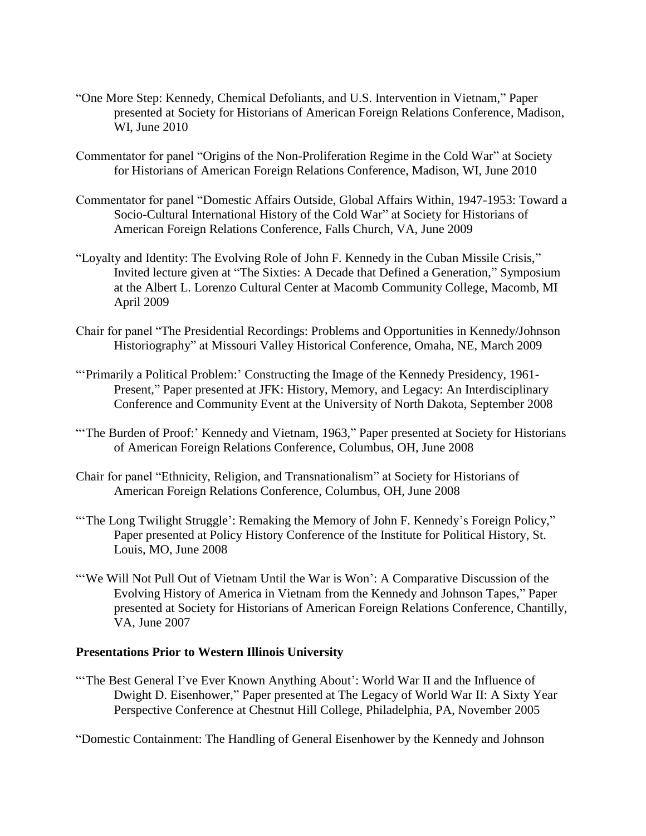- "One More Step: Kennedy, Chemical Defoliants, and U.S. Intervention in Vietnam," Paper presented at Society for Historians of American Foreign Relations Conference, Madison, WI, June 2010
- Commentator for panel "Origins of the Non-Proliferation Regime in the Cold War" at Society for Historians of American Foreign Relations Conference, Madison, WI, June 2010
- Commentator for panel "Domestic Affairs Outside, Global Affairs Within, 1947-1953: Toward a Socio-Cultural International History of the Cold War" at Society for Historians of American Foreign Relations Conference, Falls Church, VA, June 2009
- "Loyalty and Identity: The Evolving Role of John F. Kennedy in the Cuban Missile Crisis," Invited lecture given at "The Sixties: A Decade that Defined a Generation," Symposium at the Albert L. Lorenzo Cultural Center at Macomb Community College, Macomb, MI April 2009
- Chair for panel "The Presidential Recordings: Problems and Opportunities in Kennedy/Johnson Historiography" at Missouri Valley Historical Conference, Omaha, NE, March 2009
- "'Primarily a Political Problem:' Constructing the Image of the Kennedy Presidency, 1961- Present," Paper presented at JFK: History, Memory, and Legacy: An Interdisciplinary Conference and Community Event at the University of North Dakota, September 2008
- "The Burden of Proof:' Kennedy and Vietnam, 1963," Paper presented at Society for Historians of American Foreign Relations Conference, Columbus, OH, June 2008
- Chair for panel "Ethnicity, Religion, and Transnationalism" at Society for Historians of American Foreign Relations Conference, Columbus, OH, June 2008
- "The Long Twilight Struggle': Remaking the Memory of John F. Kennedy's Foreign Policy," Paper presented at Policy History Conference of the Institute for Political History, St. Louis, MO, June 2008
- "We Will Not Pull Out of Vietnam Until the War is Won': A Comparative Discussion of the Evolving History of America in Vietnam from the Kennedy and Johnson Tapes," Paper presented at Society for Historians of American Foreign Relations Conference, Chantilly, VA, June 2007

# **Presentations Prior to Western Illinois University**

"The Best General I've Ever Known Anything About': World War II and the Influence of Dwight D. Eisenhower," Paper presented at The Legacy of World War II: A Sixty Year Perspective Conference at Chestnut Hill College, Philadelphia, PA, November 2005

"Domestic Containment: The Handling of General Eisenhower by the Kennedy and Johnson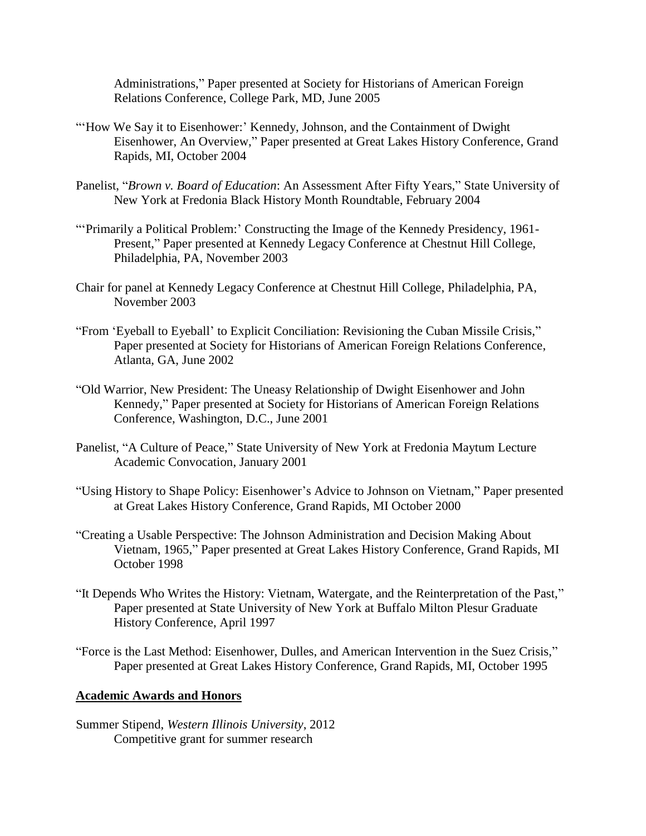Administrations," Paper presented at Society for Historians of American Foreign Relations Conference, College Park, MD, June 2005

- "'How We Say it to Eisenhower:' Kennedy, Johnson, and the Containment of Dwight Eisenhower, An Overview," Paper presented at Great Lakes History Conference, Grand Rapids, MI, October 2004
- Panelist, "*Brown v. Board of Education*: An Assessment After Fifty Years," State University of New York at Fredonia Black History Month Roundtable, February 2004
- "'Primarily a Political Problem:' Constructing the Image of the Kennedy Presidency, 1961- Present," Paper presented at Kennedy Legacy Conference at Chestnut Hill College, Philadelphia, PA, November 2003
- Chair for panel at Kennedy Legacy Conference at Chestnut Hill College, Philadelphia, PA, November 2003
- "From 'Eyeball to Eyeball' to Explicit Conciliation: Revisioning the Cuban Missile Crisis," Paper presented at Society for Historians of American Foreign Relations Conference, Atlanta, GA, June 2002
- "Old Warrior, New President: The Uneasy Relationship of Dwight Eisenhower and John Kennedy," Paper presented at Society for Historians of American Foreign Relations Conference, Washington, D.C., June 2001
- Panelist, "A Culture of Peace," State University of New York at Fredonia Maytum Lecture Academic Convocation, January 2001
- "Using History to Shape Policy: Eisenhower's Advice to Johnson on Vietnam," Paper presented at Great Lakes History Conference, Grand Rapids, MI October 2000
- "Creating a Usable Perspective: The Johnson Administration and Decision Making About Vietnam, 1965," Paper presented at Great Lakes History Conference, Grand Rapids, MI October 1998
- "It Depends Who Writes the History: Vietnam, Watergate, and the Reinterpretation of the Past," Paper presented at State University of New York at Buffalo Milton Plesur Graduate History Conference, April 1997
- "Force is the Last Method: Eisenhower, Dulles, and American Intervention in the Suez Crisis," Paper presented at Great Lakes History Conference, Grand Rapids, MI, October 1995

# **Academic Awards and Honors**

Summer Stipend, *Western Illinois University*, 2012 Competitive grant for summer research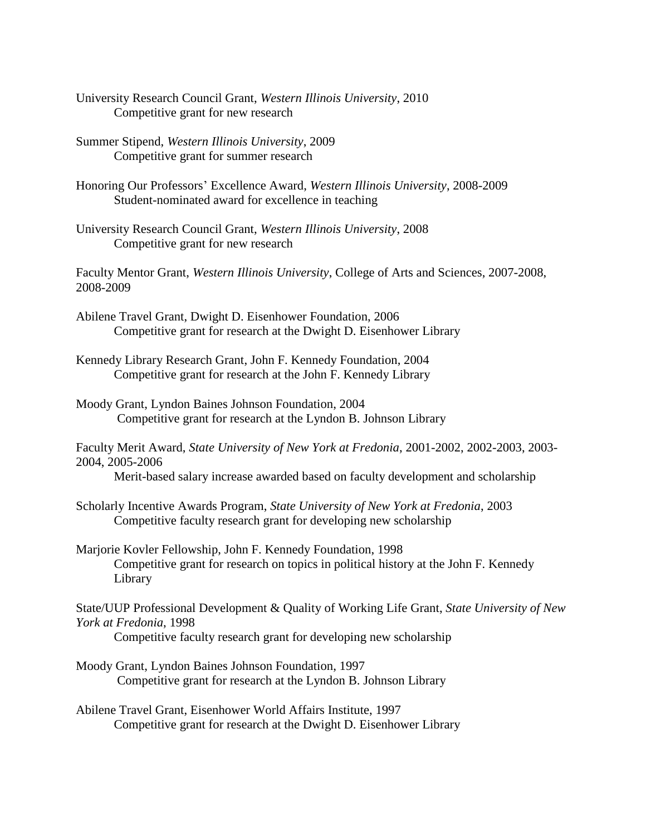- University Research Council Grant, *Western Illinois University*, 2010 Competitive grant for new research
- Summer Stipend, *Western Illinois University*, 2009 Competitive grant for summer research
- Honoring Our Professors' Excellence Award, *Western Illinois University*, 2008-2009 Student-nominated award for excellence in teaching
- University Research Council Grant, *Western Illinois University*, 2008 Competitive grant for new research

Faculty Mentor Grant, *Western Illinois University*, College of Arts and Sciences, 2007-2008, 2008-2009

- Abilene Travel Grant, Dwight D. Eisenhower Foundation, 2006 Competitive grant for research at the Dwight D. Eisenhower Library
- Kennedy Library Research Grant, John F. Kennedy Foundation, 2004 Competitive grant for research at the John F. Kennedy Library
- Moody Grant, Lyndon Baines Johnson Foundation, 2004 Competitive grant for research at the Lyndon B. Johnson Library
- Faculty Merit Award, *State University of New York at Fredonia*, 2001-2002, 2002-2003, 2003- 2004, 2005-2006

Merit-based salary increase awarded based on faculty development and scholarship

- Scholarly Incentive Awards Program, *State University of New York at Fredonia*, 2003 Competitive faculty research grant for developing new scholarship
- Marjorie Kovler Fellowship, John F. Kennedy Foundation, 1998 Competitive grant for research on topics in political history at the John F. Kennedy Library

State/UUP Professional Development & Quality of Working Life Grant, *State University of New York at Fredonia*, 1998

Competitive faculty research grant for developing new scholarship

Moody Grant, Lyndon Baines Johnson Foundation, 1997 Competitive grant for research at the Lyndon B. Johnson Library

Abilene Travel Grant, Eisenhower World Affairs Institute, 1997 Competitive grant for research at the Dwight D. Eisenhower Library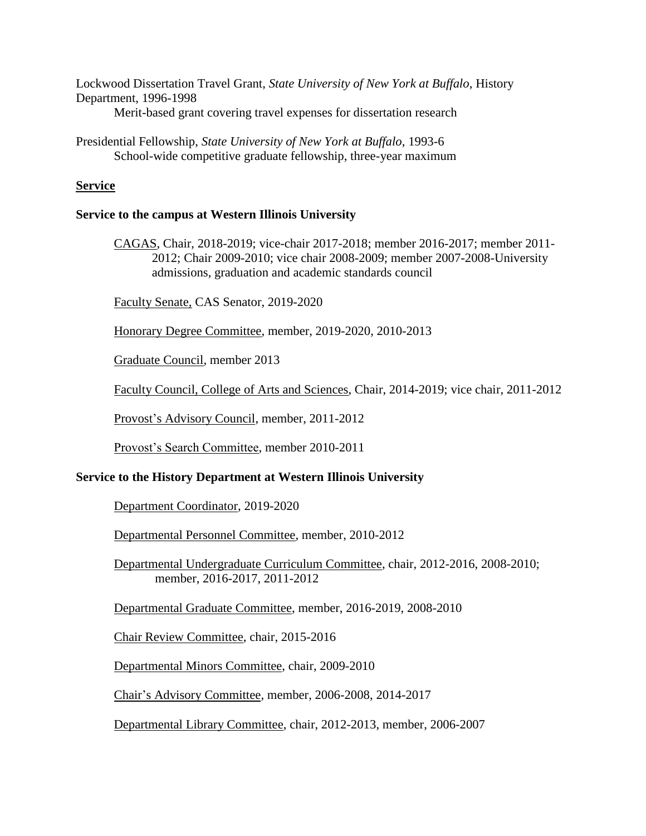Lockwood Dissertation Travel Grant, *State University of New York at Buffalo*, History Department, 1996-1998 Merit-based grant covering travel expenses for dissertation research

Presidential Fellowship, *State University of New York at Buffalo*, 1993-6 School-wide competitive graduate fellowship, three-year maximum

## **Service**

## **Service to the campus at Western Illinois University**

CAGAS, Chair, 2018-2019; vice-chair 2017-2018; member 2016-2017; member 2011- 2012; Chair 2009-2010; vice chair 2008-2009; member 2007-2008-University admissions, graduation and academic standards council

Faculty Senate*,* CAS Senator, 2019-2020

Honorary Degree Committee, member, 2019-2020, 2010-2013

Graduate Council, member 2013

Faculty Council, College of Arts and Sciences, Chair, 2014-2019; vice chair, 2011-2012

Provost's Advisory Council, member, 2011-2012

Provost's Search Committee, member 2010-2011

### **Service to the History Department at Western Illinois University**

Department Coordinator, 2019-2020

Departmental Personnel Committee, member, 2010-2012

Departmental Undergraduate Curriculum Committee, chair, 2012-2016, 2008-2010; member, 2016-2017, 2011-2012

Departmental Graduate Committee, member, 2016-2019, 2008-2010

Chair Review Committee, chair, 2015-2016

Departmental Minors Committee, chair, 2009-2010

Chair's Advisory Committee, member, 2006-2008, 2014-2017

Departmental Library Committee, chair, 2012-2013, member, 2006-2007